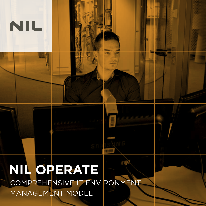# **NIL OPERATE** COMPREHENSIVE IT ENVIRONMENT MANAGEMENT MODEL

minimummummum <mark>ang</mark>

minu

NIL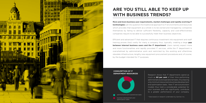**More and more business user requirements, market challenges and rapidly evolving IT technologies** call into question the traditional approach to IT environments and resources which provides that equipment as a whole is to be owned and managed by companies themselves by failing to deliver sufficient flexibility, capacity and cost-effectiveness companies require to be able to successfully meet their business objectives.

Efficient and advanced IT that requires continuous investment into equipment and staff training proves (too) costly for many a company thus, typically, creating a large **gap between internal business users and the IT department**. Users namely expect more and more functionalities and rapidly provided IT services, while the IT department is overwhelmed by administrative work and restricted by the existing and oftentimes obsolete infrastructure, lengthy new equipment procurement procedures and, of course, by the budget intended for IT purposes.



# **ARE YOU STILL ABLE TO KEEP UP WITH BUSINESS TRENDS?**

Research shows that IT departments spend as much as **80 per cent** of their time performing administrative and operational tasks, thus leaving only minimum resources to business development and optimization tasks. New IT service provision models thus hold a considerable potential for your business and can significantly contribute to a greater performance of your company.

\* Data based on research undertaken by Gartner, Inc.



business development and optimization tasks

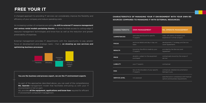# **FREE YOUR IT**

A changed approach to providing IT services can considerably improve the flexibility and efficiency of your company and reduce operating costs

An increasing number of companies are opting **to shift to external IT resource management and various rental models pertaining thereto**, as these facilitate access to cutting-edge IT resource management technologies and know-how as well as the reduction and greater predictability of expenses.

NIL provides **all the equipment, applications and know-how** required for efficient IT environment component management.

External management provides IT departments with the opportunity to pay greater focus on development and strategic tasks – that is, **on drawing up new services and optimizing business processes**.

### **You are the business and process expert, we are the IT environment experts**

As part of the approaches described above, you can avail of the comprehensive **NIL Operate** management model that facilitates entrusting us with your IT environment in full or part.



| <b>CHARACTERISTIC</b> | <b>OWN MANAGEMENT</b>                                | <b>NIL OPERATE MANAGEMENT</b>                                                   |
|-----------------------|------------------------------------------------------|---------------------------------------------------------------------------------|
| <b>COMPETENCIES</b>   | restricted and bound to specific<br>IT experts       | wide, with plenty of experts and<br>experience in similar projects              |
| <b>FOCUS</b>          | technical details and day in day out<br>tasks        | development, IT strategy and Service<br>Level Agreements                        |
| <b>RESULTS</b>        | bound by the efforts made by your<br>IT experts      | provided by the Service Level<br>Agreement                                      |
| <b>PRICE</b>          | dynamic, subject to the equipment<br>purchased       | contractually bound by the scope of<br>service                                  |
| <b>LIABILITY</b>      | your IT experts                                      | contractual                                                                     |
| <b>RISK</b>           | lies on the shoulders of your specific<br>IT experts | contractual, detailed documentation<br>belongs to you                           |
| <b>SERVICE LEVEL</b>  | not assessed                                         | specified and in compliance with financial<br>options and business requirements |

### **CHARACTERISTICS OF MANAGING YOUR IT ENVIRONMENT WITH YOUR OWN RE-SOURCES COMPARED TO MANAGING IT WITH EXTERNAL RESOURCES:**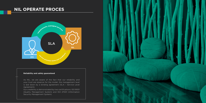## **NIL OPERATE PROCES**

### **Reliability and safety guaranteed**

As NIL, we are aware of the fact that our reliability and your trust are essence for the model, the management level is laid down by a binding agreement (SLA – Service Level Agreement).

Our credibility is demonstrated by two certifications: ISO 9001 (Quality Management System) and ISO 27001 (Information Security Management System).



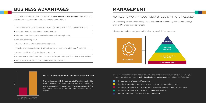## **BUSINESS ADVANTAGES**

NIL Operate provides you with a significantly **more flexible IT environment** and the following advantages as compared to your own management thereof:

- predictable IT department budget by not having to invest into equipment (CAPEX),
- focus on the principal activity of your company,
- focus of internal IT experts on development and strategic tasks,
- reduced operating costs,
- faster and easier introduction of new services,
- high level of technical support without having to recruit any additional IT experts,
- zguaranteed level of availability of IT services,
- access to expertise without having to provide IT experts with specific and expensive training,
- simplified adaptability to changing business requirements.



Managed infrastructure infrastructure Traditional

NIL provides you with the appropriate IT environment, while your IT experts are finally granted both the opportunity and time required for developing IT that complies with the requirements and expectations of your business users and clients.

#### SPEED OF ADAPTABILITY TO BUSINESS REQUIREMENTS

# **MANAGEMENT**

NIL Operate provides either management of a **specific IT service** (such as IP telephony)

#### or **your IT environment as a whole**.

NIL Operate has been designed on the following closely linked elements:

### NO NEED TO WORRY ABOUT DETAILS, EVERYTHING IS INCLUDED

All service management and operation terms and conditions which are of relevance for your business are laid down by the **SLA – Service Level Agreement** that defines the following:



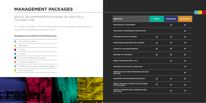# **MANAGEMENT PACKAGES**

NIL Operate is available in three basic packages that can be adapted, where necessary, to your specific requirements and business models.

### **Management is provided in the following areas:**

### SELECT AN APPROPRIATE PACKAGE OR ASK FOR A TAILORED ONE

data communications,

- data center,
- **n** mobility,
- security, m.
- Microsoft working environment, **Contract**
- computer equipment,
- IP telephony and video conferencing systems,
- office equipment.



| <b>SERVICES</b>                                                 | <b>BASIC</b> | <b>STANDARD</b> | <b>ADVANCED</b> |
|-----------------------------------------------------------------|--------------|-----------------|-----------------|
| PROVISION OF IT EQUIPMENT                                       |              |                 |                 |
| PROVISION OF BROADBAND CONNECTIONS                              |              |                 |                 |
| <b>IMPLEMENTATION OF CHANGES</b>                                | ✔            |                 |                 |
| MONITORING OPERATIONS AND ALERTING                              |              |                 |                 |
| <b>TECHNICAL ASSISTANCE SERVICE</b>                             |              |                 |                 |
| <b>RECOVERY OF INCIDENTS</b>                                    |              |                 |                 |
| <b>SERVICE LEVEL PROVISION - SLA</b>                            |              |                 |                 |
| STRATEGIC AND TACTICAL CONSULTING                               |              |                 |                 |
| INTRODUCTION OF NEW FUNCTIONALITIES AND<br><b>SERVICES</b>      |              |                 |                 |
| <b>RECORDING AND DOCUMENTING SETTINGS</b>                       | $\checkmark$ |                 |                 |
| WEEKLY TECHNICAL REPORT ON THE CARRIED<br><b>OUT ACTIVITIES</b> |              |                 |                 |
|                                                                 |              |                 |                 |

**MONTHLY REPORTS AND PLANNING OF NEW ACTIVITIES** 

| ASIC                 | <b>STANDARD</b> | <b>ADVANCED</b> |
|----------------------|-----------------|-----------------|
|                      |                 |                 |
|                      |                 |                 |
|                      |                 |                 |
| $\blacktriangledown$ |                 |                 |
| $\checkmark$         |                 |                 |
|                      |                 |                 |
|                      |                 |                 |
|                      |                 |                 |
|                      |                 |                 |
|                      |                 |                 |
|                      |                 |                 |
|                      |                 |                 |
|                      |                 |                 |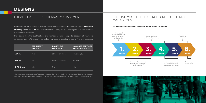



### **NIL Operate arrangements are made within about six months.**

### SHIFTING YOUR IT INFRASTRUCTURE TO EXTERNAL MANAGEMENT

### **DESIGNS**

Shifting to the NIL Operate IT service provision management model foresee the **delegation**  of **management tasks to NIL**; several scenarios are possible with regard to IT environment ownership and location.

They depend on the qualifications and number of your IT experts, capacity of your data center, relevancy of the service as well as your security requirements and financial resources.

\* The function of specific pieces of equipment requires them to be installed at the location of the final user (network equipment, IP telephones, user computers, office equipment: photocopying machines, printers, fax machines, etc.).

### LOCAL, SHARED OR EXTERNAL MANAGEMENT?

|                 | <b>EQUIPMENT</b><br><b>OWNER</b> | <b>EQUIPMENT</b><br><b>LOCATION*</b> | <b>MANAGED SERVICES</b><br><b>ARE RENDERED BY</b> |
|-----------------|----------------------------------|--------------------------------------|---------------------------------------------------|
| <b>LOCAL</b>    | <b>VOU</b>                       | at your premises                     | NIL and you                                       |
| <b>SHARED</b>   | <b>NIL</b>                       | at your premises                     | NIL and you                                       |
| <b>EXTERNAL</b> | NIL                              | <b>NIL</b>                           | NIL                                               |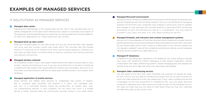# **EXAMPLES OF MANAGED SERVICES**

### **Managed data center:**

Following the methodology of NIL HyperCenter and NIL Flex IT, NIL provides either full or partial management of the data center infrastructure, subject to ownership and location of the equipment and the desired resource monitoring. You are provided with the entire platform, on which your applications run. These remain your only concern.

#### **Managed back-up data center:**

Does your company apply its own data center, but you are concerned that major disaster can occur and your primary center may break down? NIL provides fast and flexible rental of IT resources on its infrastructure which can be easily applied to creating your own back-up data center, including rental of memory, processor and storing resources and network connectivity.

### **Managed wireless network:**

An increasing number of your users apply mobile devices and seeks to access data on your servers, causing inconvenience to you. If you are not positive how to go about introducing a wireless and safe solution that would suffice for internal users and guests, leave this to us. Only teach your administrative staff how to easily grant wireless access to your guests when necessary.

#### **Managed application of mobile devices:**

Smart phones and tablets have become so widespread that access of employees to company data anywhere and anytime is a given. Our managed solution can, in a controlled manner, boost the productivity of mobile users without compromising security in your company. Do not worry too much if a mobile device is stolen, because data are continuously securely stored in your data center.

### **Managed Microsoft environment:**

### IT SOLUTUTIONS AS MANAGED SERVICES

Would you like to introduce a collaboration environment with the Skype for Business tool and by integrating with the Exchange system? Are you overwhelmed by managing Window-environment user computers that undergo a continuous cycle of updates and changes to user settings? NIL provides experts in planning of and introducing automation to such environments as well as in virtualization. You only need to consider if your users will (and, if so, until when) continue to use PCs.

### **Managed firewalls, anti-intrusion and content management systems:**

Are you not in the possession of the know-how and time to implement complex security policies pertaining to access and exchange of data via firewalls and with other networks? Do you receive spam mail or even viruses on a daily basis as your security systems are not regularly updated? Leave all the complexity pertaining to setting up and managing network security systems on a daily basis to us.

### **Managed IP telephony:**

In addition to providing basic operations of IP telephony, NIL is also willing to provide your users with additional instant messaging, e-mail system integration, distant collaboration and video conferencing systems. Instant messaging and user statuses will quickly bring you up-to-date with when your associates are available.

### **Managed video conferencing service:**

You are aware of the fact that video facilitates the presence of people far away as well, which is why you seek to introduce this solution but do not want to invest too much into video equipment at the very beginning? If your video conferencing service is managed, all the main equipment is installed by NIL, you only apply personal conference webcams and video systems provided as part of the managed service. NIL does not claim that you will need to meet fewer times but that your meetings will definitely take up less of your time.